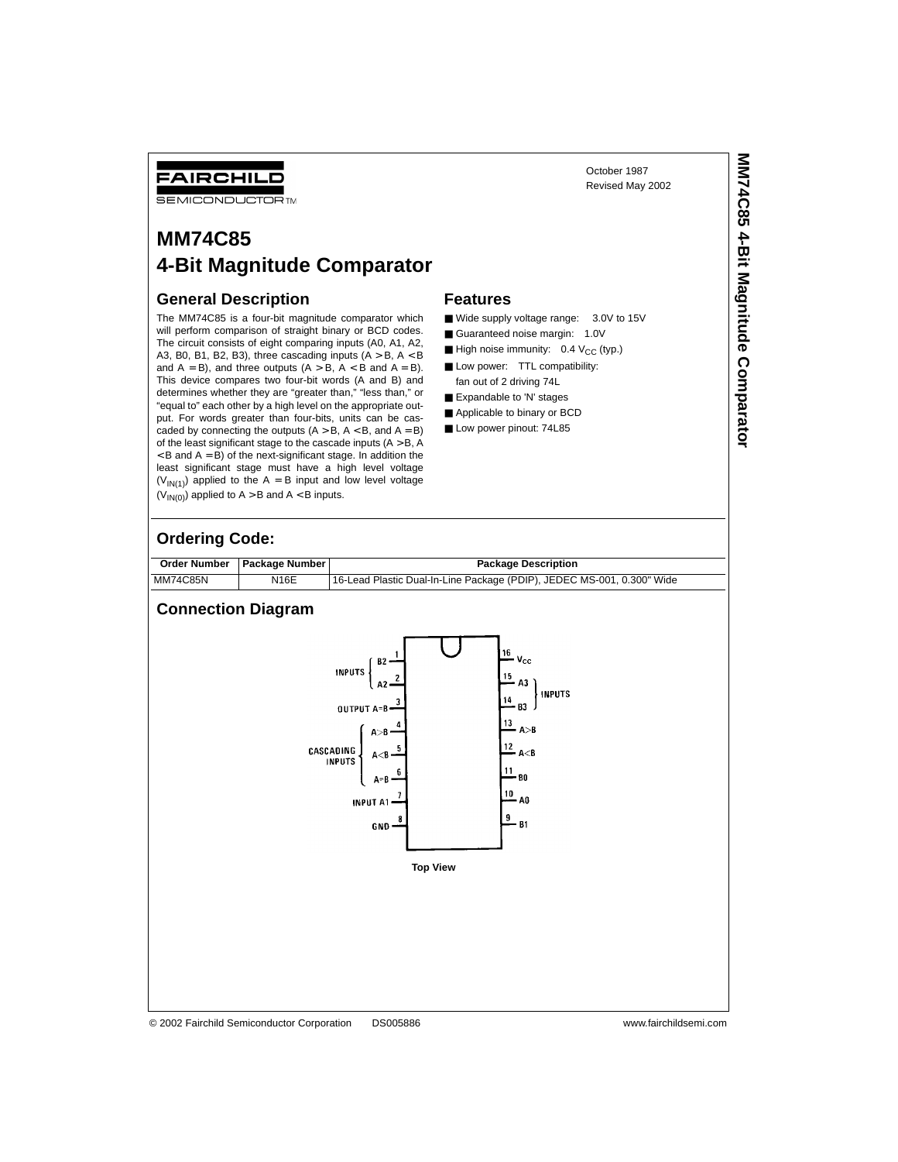October 1987 Revised May 2002

# **MM74C85 4-Bit Magnitude Comparator**

# **General Description**

FAIRCHILD **SEMICONDUCTOR TM** 

The MM74C85 is a four-bit magnitude comparator which will perform comparison of straight binary or BCD codes. The circuit consists of eight comparing inputs (A0, A1, A2, A3, B0, B1, B2, B3), three cascading inputs (A > B, A < B and  $A = B$ ), and three outputs  $(A > B, A < B$  and  $A = B)$ . This device compares two four-bit words (A and B) and determines whether they are "greater than," "less than," or "equal to" each other by a high level on the appropriate output. For words greater than four-bits, units can be cascaded by connecting the outputs  $(A > B, A < B,$  and  $A = B)$ of the least significant stage to the cascade inputs  $(A > B, A)$  $<$  B and A = B) of the next-significant stage. In addition the least significant stage must have a high level voltage  $(V_{\text{IN}(1)})$  applied to the A = B input and low level voltage  $(V_{IN(0)})$  applied to A > B and A < B inputs.

#### **Features**

- Wide supply voltage range: 3.0V to 15V
- Guaranteed noise margin: 1.0V
- $\blacksquare$  High noise immunity: 0.4  $V_{CC}$  (typ.)
- Low power: TTL compatibility: fan out of 2 driving 74L
- Expandable to 'N' stages
- Applicable to binary or BCD
- Low power pinout: 74L85

#### **Ordering Code:**

|          | Order Number   Package Number | <b>Package Description</b>                                             |
|----------|-------------------------------|------------------------------------------------------------------------|
| MM74C85N | <b>N16E</b>                   | 16-Lead Plastic Dual-In-Line Package (PDIP), JEDEC MS-001, 0.300" Wide |

## **Connection Diagram**

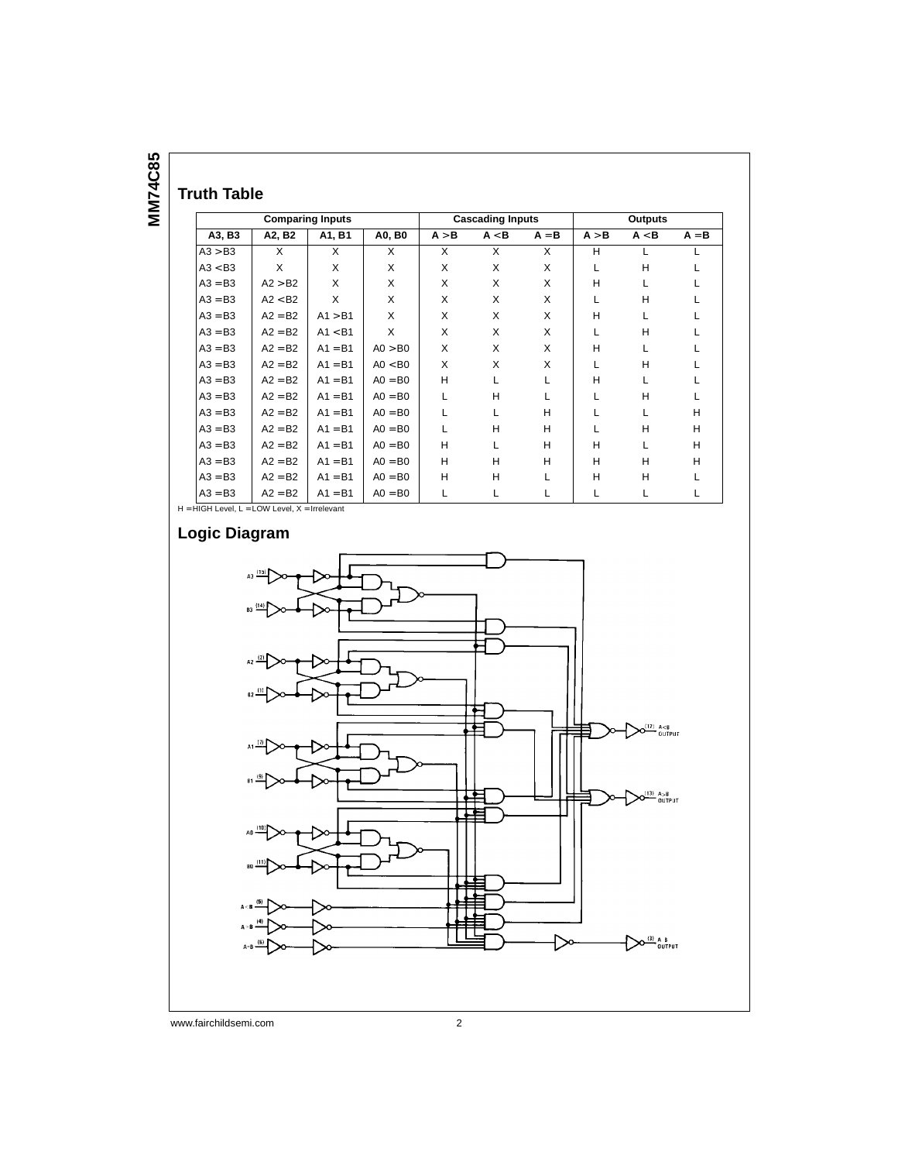**MM74C85 MM74C85**

# **Truth Table**

| <b>Comparing Inputs</b> |           |           |           | <b>Cascading Inputs</b> |              |              |       | <b>Outputs</b> |         |
|-------------------------|-----------|-----------|-----------|-------------------------|--------------|--------------|-------|----------------|---------|
| A3, B3                  | A2, B2    | A1, B1    | A0, B0    | A > B                   | A < B        | $A = B$      | A > B | A < B          | $A = B$ |
| A3 > B3                 | X         | X         | X         | X                       | X            | X            | н     |                |         |
| A3 < B3                 | X         | X         | X         | X                       | X            | X            | L     | H              |         |
| $A3 = B3$               | A2 > B2   | X         | X         | X                       | X            | X            | н     | L              |         |
| $A3 = B3$               | A2 < B2   | X         | X         | X                       | X            | X            | L     | H              |         |
| $A3 = B3$               | $A2 = B2$ | A1 > B1   | X         | X                       | X            | X            | H     | L              |         |
| $A3 = B3$               | $A2 = B2$ | A1 < B1   | X         | X                       | $\times$     | X            | L     | H              |         |
| $A3 = B3$               | $A2 = B2$ | $A1 = B1$ | AO > BO   | X                       | X            | X            | H     | L              |         |
| $A3 = B3$               | $A2 = B2$ | $A1 = B1$ | AO < BO   | X                       | X            | X            | L     | H              |         |
| $A3 = B3$               | $A2 = B2$ | $A1 = B1$ | $AO = BO$ | H                       | $\mathbf{L}$ | L            | H     | $\mathbf{I}$   |         |
| $A3 = B3$               | $A2 = B2$ | $A1 = B1$ | $AO = BO$ | L                       | H            | $\mathbf{I}$ | L     | H              | L       |
| $A3 = B3$               | $A2 = B2$ | $A1 = B1$ | $AO = BO$ | L                       | L            | н            | L     | $\mathbf{L}$   | н       |
| $A3 = B3$               | $A2 = B2$ | $A1 = B1$ | $AO = BO$ | L                       | H            | H            | L     | H              | H       |
| $A3 = B3$               | $A2 = B2$ | $A1 = B1$ | $AO = BO$ | H                       | L            | н            | н     | L              | H       |
| $A3 = B3$               | $A2 = B2$ | $A1 = B1$ | $AO = BO$ | H                       | H            | H            | н     | H              | H       |
| $A3 = B3$               | $A2 = B2$ | $A1 = B1$ | $AO = BO$ | H                       | H            | L            | н     | H              | L       |
| $A3 = B3$               | $A2 = B2$ | $A1 = B1$ | $AO = BO$ | L                       | Г            | Г            | L     | Г              | L       |

**Logic Diagram**

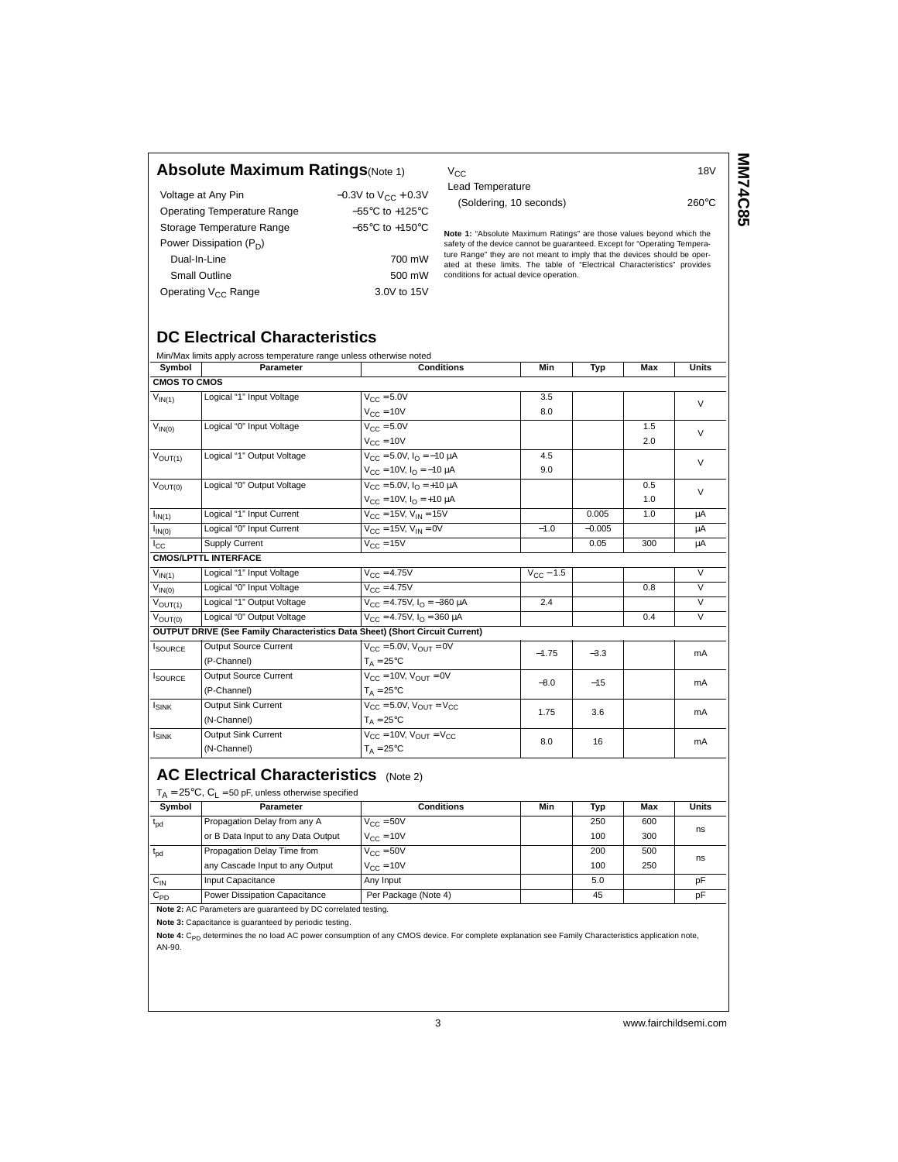### **Absolute Maximum Ratings**(Note 1)

| Voltage at Any Pin              | $-0.3V$ to $V_{CC}$ + 0.3V          |
|---------------------------------|-------------------------------------|
| Operating Temperature Range     | $-55^{\circ}$ C to $+125^{\circ}$ C |
| Storage Temperature Range       | $-65^{\circ}$ C to $+150^{\circ}$ C |
| Power Dissipation $(P_D)$       |                                     |
| Dual-In-Line                    | 700 mW                              |
| <b>Small Outline</b>            | 500 mW                              |
| Operating V <sub>CC</sub> Range | 3.0V to 15V                         |
|                                 |                                     |

 $V_{\text{CC}}$  and  $V_{\text{CC}}$  and  $V_{\text{CC}}$  and  $V_{\text{CC}}$  and  $V_{\text{CC}}$  and  $V_{\text{CC}}$  and  $V_{\text{CC}}$  and  $V_{\text{CC}}$  and  $V_{\text{CC}}$  and  $V_{\text{CC}}$  and  $V_{\text{CC}}$  and  $V_{\text{CC}}$  and  $V_{\text{CC}}$  and  $V_{\text{CC}}$  and  $V_{\text{CC}}$  and  $V_{\text{CC}}$  a Lead Temperature (Soldering, 10 seconds) 260°C **MN74C85 MM74C85**

**Note 1:** "Absolute Maximum Ratings" are those values beyond which the safety of the device cannot be guaranteed. Except for "Operating Temperature Range" they are not meant to imply that the devices should be oper-ated at these limits. The table of "Electrical Characteristics" provides conditions for actual device operation.

## **DC Electrical Characteristics**

|                        | Min/Max limits apply across temperature range unless otherwise noted |                                                                                     |                               |          |     |              |
|------------------------|----------------------------------------------------------------------|-------------------------------------------------------------------------------------|-------------------------------|----------|-----|--------------|
| Symbol                 | Parameter                                                            | <b>Conditions</b>                                                                   | Min                           | Typ      | Max | <b>Units</b> |
| <b>CMOS TO CMOS</b>    |                                                                      |                                                                                     |                               |          |     |              |
| $\overline{V}_{IN(1)}$ | Logical "1" Input Voltage                                            | $V_{\text{CC}} = 5.0V$                                                              | 3.5                           |          |     | $\vee$       |
|                        |                                                                      | $V_{CC} = 10V$                                                                      | 8.0                           |          |     |              |
| $\overline{V}_{IN(0)}$ | Logical "0" Input Voltage                                            | $V_{CC} = 5.0V$                                                                     |                               |          | 1.5 | $\vee$       |
|                        |                                                                      | $V_{\text{CC}} = 10V$                                                               |                               |          | 2.0 |              |
| $V_{OUT(1)}$           | Logical "1" Output Voltage                                           | $V_{CC} = 5.0V$ , $I_{O} = -10 \mu A$                                               | 4.5                           |          |     | $\vee$       |
|                        |                                                                      | $V_{\text{CC}} = 10V$ , $I_{\text{O}} = -10 \mu A$                                  | 9.0                           |          |     |              |
| $V_{OUT(0)}$           | Logical "0" Output Voltage                                           | $V_{CC} = 5.0V$ , $I_{O} = +10 \mu A$                                               |                               |          | 0.5 | $\vee$       |
|                        |                                                                      | $V_{CC} = 10V$ , $I_{O} = +10 \mu A$                                                |                               |          | 1.0 |              |
| $I_{IN(1)}$            | Logical "1" Input Current                                            | $V_{CC}$ = 15V, $V_{IN}$ = 15V                                                      |                               | 0.005    | 1.0 | μA           |
| $I_{IN(0)}$            | Logical "0" Input Current                                            | $V_{CC} = 15V$ , $V_{IN} = 0V$                                                      | $-1.0$                        | $-0.005$ |     | μA           |
| $_{\rm lcc}$           | Supply Current                                                       | $V_{C}$ = 15V                                                                       |                               | 0.05     | 300 | μA           |
|                        | <b>CMOS/LPTTL INTERFACE</b>                                          |                                                                                     |                               |          |     |              |
| $\overline{V}_{IN(1)}$ | Logical "1" Input Voltage                                            | $V_{CC} = 4.75V$                                                                    | $V_{\text{C} \text{C}} - 1.5$ |          |     | $\vee$       |
| $V_{IN(0)}$            | Logical "0" Input Voltage                                            | $V_{C} = 4.75V$                                                                     |                               |          | 0.8 | $\vee$       |
| $V_{OUT(1)}$           | Logical "1" Output Voltage                                           | $V_{C} = 4.75V$ , $I_{O} = -360 \mu A$                                              | 2.4                           |          |     | V            |
| $V_{\text{OUT}(0)}$    | Logical "0" Output Voltage                                           | $V_{CC} = 4.75V$ , $I_{O} = 360 \mu A$                                              |                               |          | 0.4 | $\vee$       |
|                        |                                                                      | <b>OUTPUT DRIVE (See Family Characteristics Data Sheet) (Short Circuit Current)</b> |                               |          |     |              |
| <b>I</b> SOURCE        | <b>Output Source Current</b>                                         | $V_{CC} = 5.0V$ , $V_{OIII} = 0V$                                                   | $-1.75$                       | $-3.3$   |     | mA           |
|                        | (P-Channel)                                                          | $T_A = 25^{\circ}C$                                                                 |                               |          |     |              |
| <b>ISOURCE</b>         | <b>Output Source Current</b>                                         | $V_{CC} = 10V$ , $V_{OUT} = 0V$                                                     | $-8.0$                        | $-15$    |     | mA           |
|                        | (P-Channel)                                                          | $T_A = 25^{\circ}C$                                                                 |                               |          |     |              |
| $I_{SINK}$             | <b>Output Sink Current</b>                                           | $V_{CC} = 5.0V$ , $V_{OIII} = V_{CC}$                                               | 1.75                          | 3.6      |     | mA           |
|                        | (N-Channel)                                                          | $T_A = 25^{\circ}C$                                                                 |                               |          |     |              |
| <b>ISINK</b>           | <b>Output Sink Current</b>                                           | $V_{CC} = 10V$ , $V_{OUT} = V_{CC}$                                                 | 8.0                           | 16       |     | mA           |
|                        | (N-Channel)                                                          | $T_A = 25^{\circ}C$                                                                 |                               |          |     |              |

## **AC Electrical Characteristics** (Note 2)

| Symbol       | <b>Parameter</b>                   | <b>Conditions</b>              | Min | Typ | Max | Units |
|--------------|------------------------------------|--------------------------------|-----|-----|-----|-------|
| $t_{\rm pd}$ | Propagation Delay from any A       | $V_{C}$ = 50V                  |     | 250 | 600 | ns    |
|              | or B Data Input to any Data Output | $V_{CC} = 10V$                 |     | 100 | 300 |       |
| $t_{\rm od}$ | Propagation Delay Time from        | $V_{\text{C} \text{C}} = 50 V$ |     | 200 | 500 | ns    |
|              | any Cascade Input to any Output    | $V_{C}$ = 10V                  |     | 100 | 250 |       |
| $C_{IN}$     | Input Capacitance                  | Any Input                      |     | 5.0 |     | рF    |
| $C_{PD}$     | Power Dissipation Capacitance      | Per Package (Note 4)           |     | 45  |     | pF    |

**Note 2:** AC Parameters are guaranteed by DC correlated testing.

**Note 3:** Capacitance is guaranteed by periodic testing.

Note 4: C<sub>PD</sub> determines the no load AC power consumption of any CMOS device. For complete explanation see Family Characteristics application note, AN-90.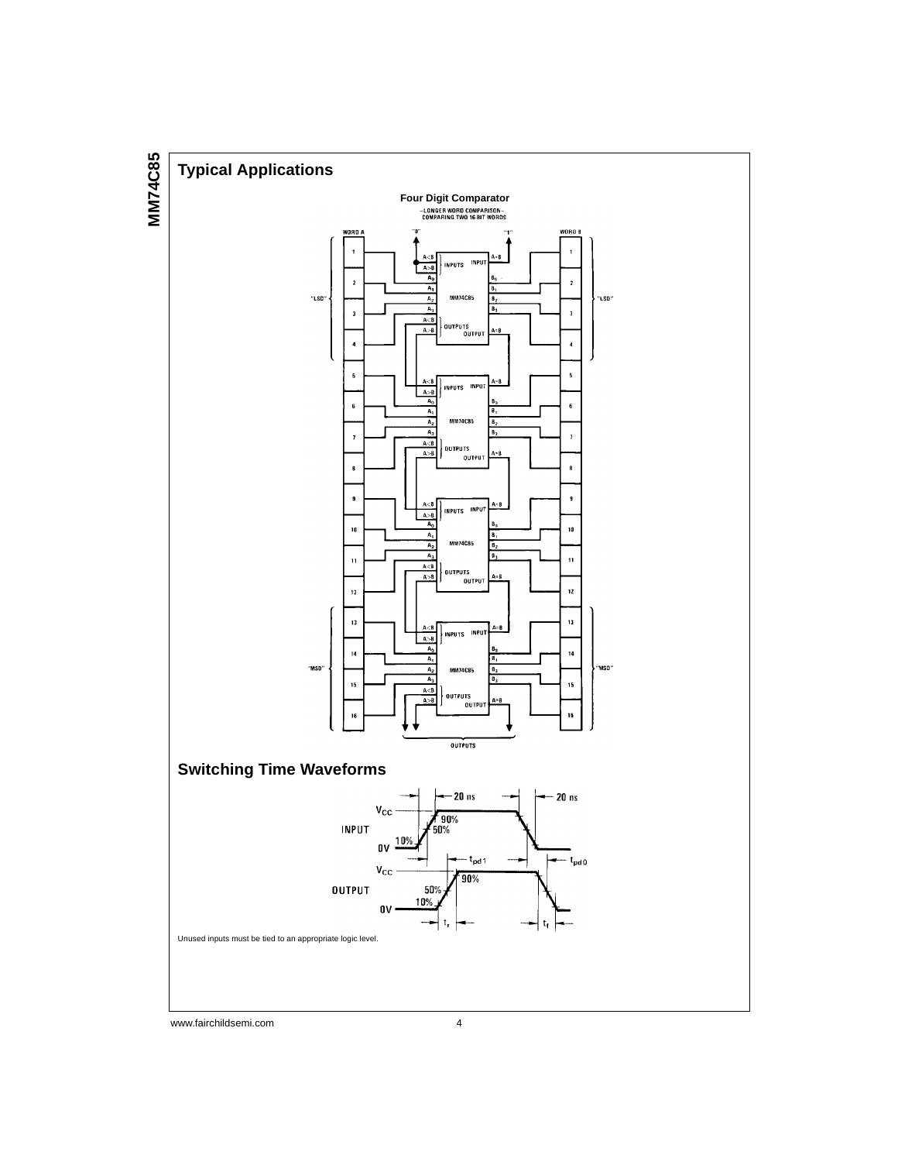

www.fairchildsemi.com 4